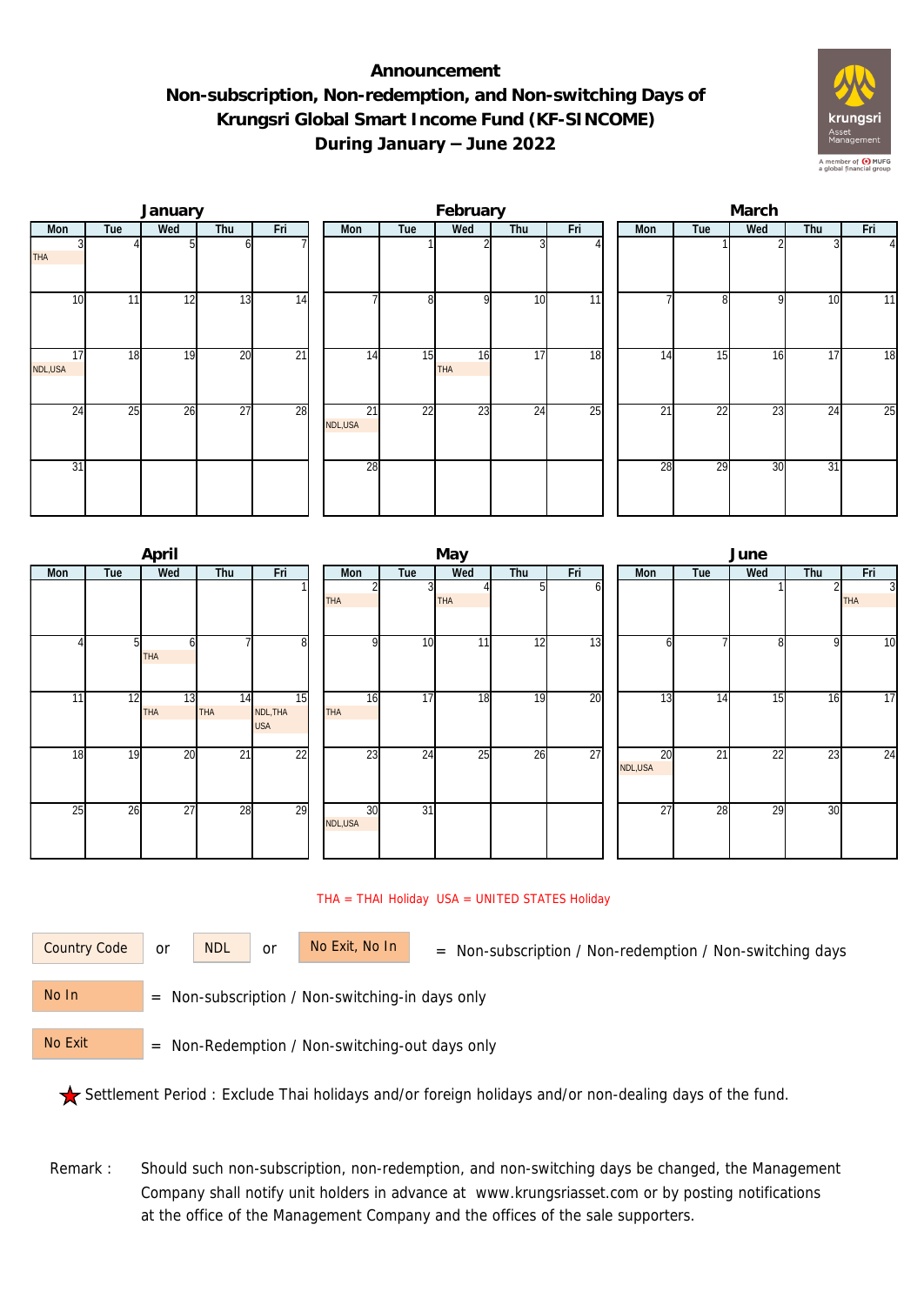## **Announcement Non-subscription, Non-redemption, and Non-switching Days of Krungsri Global Smart Income Fund (KF-SINCOME) During January – June 2022**



|               |     | January |                 |                 | February      |                |                  |                 |     |  | March           |                 |                 |     |              |  |  |
|---------------|-----|---------|-----------------|-----------------|---------------|----------------|------------------|-----------------|-----|--|-----------------|-----------------|-----------------|-----|--------------|--|--|
| Mon           | Tue | Wed     | Thu             | Fri             | Mon           | Tue            | Wed              | Thu             | Fri |  | Mon             | Tue             | Wed             | Thu | Fri          |  |  |
| <b>THA</b>    |     |         |                 |                 |               |                |                  |                 |     |  |                 |                 |                 |     | $\mathbf{I}$ |  |  |
| 10            | 11  | 12      | 13              | 14              |               | 8 <sup>1</sup> | $\Omega$         | 10              | 11  |  |                 | 81              | $\Omega$        | 10  | 11           |  |  |
| 17<br>NDL,USA | 18  | 19      | $\overline{20}$ | $\overline{21}$ | 14            | 15             | 16<br><b>THA</b> | $1\overline{7}$ | 18  |  | 14              | 15              | 16              | 17  | 18           |  |  |
| 24            | 25  | 26      | $\overline{27}$ | 28              | 21<br>NDL,USA | 22             | 23               | 24              | 25  |  | $\overline{21}$ | $\overline{22}$ | $\overline{23}$ | 24  | 25           |  |  |
| 31            |     |         |                 |                 | 28            |                |                  |                 |     |  | 28              | 29              | 30              | 31  |              |  |  |

|     |     | April            |                  |                              |                  |                 | May        |                 |     | June            |     |                |     |                              |  |  |
|-----|-----|------------------|------------------|------------------------------|------------------|-----------------|------------|-----------------|-----|-----------------|-----|----------------|-----|------------------------------|--|--|
| Mon | Tue | Wed              | Thu              | Fri                          | Mon              | Tue             | Wed        | Thu             | Fri | Mon             | Tue | Wed            | Thu | Fri                          |  |  |
|     |     |                  |                  |                              | <b>THA</b>       |                 | <b>THA</b> |                 | ΩI  |                 |     |                |     | $\overline{3}$<br><b>THA</b> |  |  |
|     | 51  | h<br>THA         |                  | 8                            | $\Omega$         | 10              | 11         | $1\overline{2}$ | 13  | h               |     | 8 <sup>1</sup> | 9   | 10                           |  |  |
| 11  | 12  | 13<br><b>THA</b> | 14<br><b>THA</b> | 15<br>NDL, THA<br><b>USA</b> | 16<br><b>THA</b> | $1\overline{7}$ | 18         | 19              | 20  | $\overline{13}$ | 14  | 15             | 16  | 17                           |  |  |
| 18  | 19  | 20               | 21               | 22                           | 23               | 24              | 25         | 26              | 27  | 20<br>NDL,USA   | 21  | 22             | 23  | 24                           |  |  |
| 25  | 26  | 27               | 28               | $\overline{29}$              | 30<br>NDL,USA    | $\overline{31}$ |            |                 |     | 27              | 28  | 29             | 30  |                              |  |  |

## THA = THAI Holiday USA = UNITED STATES Holiday

or NDL or

Country Code or NDL or No Exit, No In = Non-subscription / Non-redemption / Non-switching days

 = Non-subscription / Non-switching-in days only No In

 = Non-Redemption / Non-switching-out days only No Exit

Settlement Period : Exclude Thai holidays and/or foreign holidays and/or non-dealing days of the fund.

Remark : Should such non-subscription, non-redemption, and non-switching days be changed, the Management Company shall notify unit holders in advance at www.krungsriasset.com or by posting notifications at the office of the Management Company and the offices of the sale supporters.